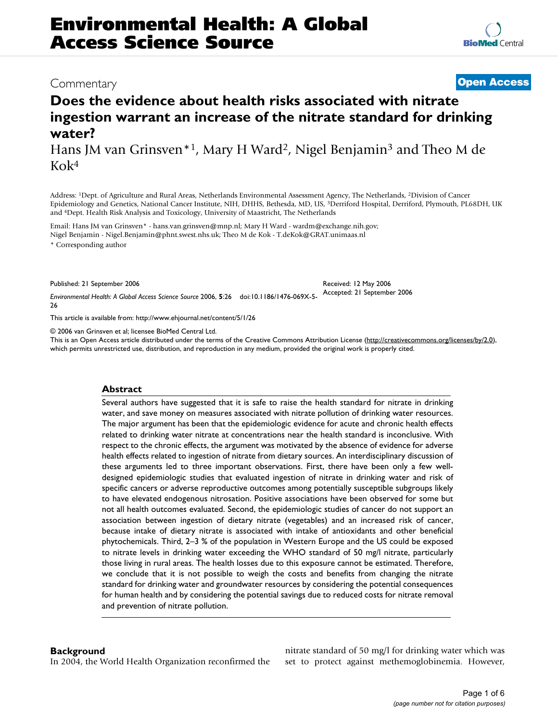# **Does the evidence about health risks associated with nitrate ingestion warrant an increase of the nitrate standard for drinking water?**

Hans JM van Grinsven<sup>\*1</sup>, Mary H Ward<sup>2</sup>, Nigel Benjamin<sup>3</sup> and Theo M de Kok4

Address: 1Dept. of Agriculture and Rural Areas, Netherlands Environmental Assessment Agency, The Netherlands, 2Division of Cancer Epidemiology and Genetics, National Cancer Institute, NIH, DHHS, Bethesda, MD, US, 3Derriford Hospital, Derriford, Plymouth, PL68DH, UK and 4Dept. Health Risk Analysis and Toxicology, University of Maastricht, The Netherlands

Email: Hans JM van Grinsven\* - hans.van.grinsven@mnp.nl; Mary H Ward - wardm@exchange.nih.gov; Nigel Benjamin - Nigel.Benjamin@phnt.swest.nhs.uk; Theo M de Kok - T.deKok@GRAT.unimaas.nl

\* Corresponding author

Published: 21 September 2006

*Environmental Health: A Global Access Science Source* 2006, **5**:26 doi:10.1186/1476-069X-5- 26

[This article is available from: http://www.ehjournal.net/content/5/1/26](http://www.ehjournal.net/content/5/1/26)

© 2006 van Grinsven et al; licensee BioMed Central Ltd.

This is an Open Access article distributed under the terms of the Creative Commons Attribution License [\(http://creativecommons.org/licenses/by/2.0\)](http://creativecommons.org/licenses/by/2.0), which permits unrestricted use, distribution, and reproduction in any medium, provided the original work is properly cited.

#### **Abstract**

Several authors have suggested that it is safe to raise the health standard for nitrate in drinking water, and save money on measures associated with nitrate pollution of drinking water resources. The major argument has been that the epidemiologic evidence for acute and chronic health effects related to drinking water nitrate at concentrations near the health standard is inconclusive. With respect to the chronic effects, the argument was motivated by the absence of evidence for adverse health effects related to ingestion of nitrate from dietary sources. An interdisciplinary discussion of these arguments led to three important observations. First, there have been only a few welldesigned epidemiologic studies that evaluated ingestion of nitrate in drinking water and risk of specific cancers or adverse reproductive outcomes among potentially susceptible subgroups likely to have elevated endogenous nitrosation. Positive associations have been observed for some but not all health outcomes evaluated. Second, the epidemiologic studies of cancer do not support an association between ingestion of dietary nitrate (vegetables) and an increased risk of cancer, because intake of dietary nitrate is associated with intake of antioxidants and other beneficial phytochemicals. Third, 2–3 % of the population in Western Europe and the US could be exposed to nitrate levels in drinking water exceeding the WHO standard of 50 mg/l nitrate, particularly those living in rural areas. The health losses due to this exposure cannot be estimated. Therefore, we conclude that it is not possible to weigh the costs and benefits from changing the nitrate standard for drinking water and groundwater resources by considering the potential consequences for human health and by considering the potential savings due to reduced costs for nitrate removal and prevention of nitrate pollution.

#### **Background**

In 2004, the World Health Organization reconfirmed the

nitrate standard of 50 mg/l for drinking water which was set to protect against methemoglobinemia. However,

## Commentary **[Open Access](http://www.biomedcentral.com/info/about/charter/)**

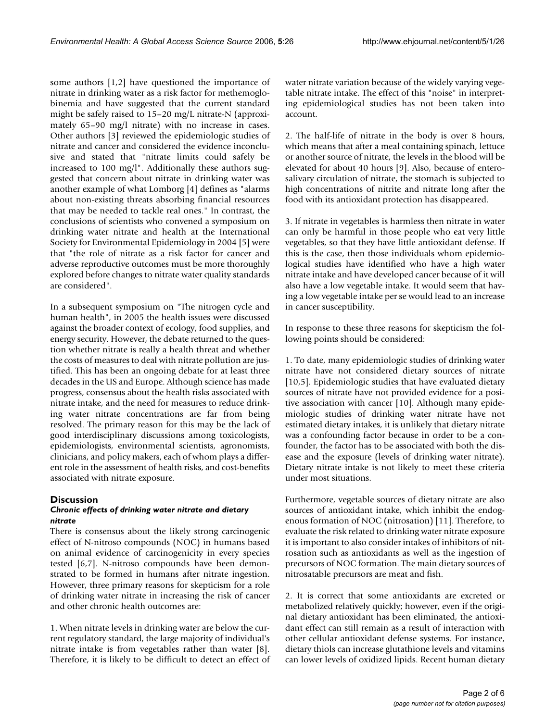some authors [1,2] have questioned the importance of nitrate in drinking water as a risk factor for methemoglobinemia and have suggested that the current standard might be safely raised to 15–20 mg/L nitrate-N (approximately 65–90 mg/l nitrate) with no increase in cases. Other authors [3] reviewed the epidemiologic studies of nitrate and cancer and considered the evidence inconclusive and stated that "nitrate limits could safely be increased to 100 mg/l". Additionally these authors suggested that concern about nitrate in drinking water was another example of what Lomborg [4] defines as "alarms about non-existing threats absorbing financial resources that may be needed to tackle real ones." In contrast, the conclusions of scientists who convened a symposium on drinking water nitrate and health at the International Society for Environmental Epidemiology in 2004 [5] were that "the role of nitrate as a risk factor for cancer and adverse reproductive outcomes must be more thoroughly explored before changes to nitrate water quality standards are considered".

In a subsequent symposium on "The nitrogen cycle and human health", in 2005 the health issues were discussed against the broader context of ecology, food supplies, and energy security. However, the debate returned to the question whether nitrate is really a health threat and whether the costs of measures to deal with nitrate pollution are justified. This has been an ongoing debate for at least three decades in the US and Europe. Although science has made progress, consensus about the health risks associated with nitrate intake, and the need for measures to reduce drinking water nitrate concentrations are far from being resolved. The primary reason for this may be the lack of good interdisciplinary discussions among toxicologists, epidemiologists, environmental scientists, agronomists, clinicians, and policy makers, each of whom plays a different role in the assessment of health risks, and cost-benefits associated with nitrate exposure.

### **Discussion**

#### *Chronic effects of drinking water nitrate and dietary nitrate*

There is consensus about the likely strong carcinogenic effect of N-nitroso compounds (NOC) in humans based on animal evidence of carcinogenicity in every species tested [6,7]. N-nitroso compounds have been demonstrated to be formed in humans after nitrate ingestion. However, three primary reasons for skepticism for a role of drinking water nitrate in increasing the risk of cancer and other chronic health outcomes are:

1. When nitrate levels in drinking water are below the current regulatory standard, the large majority of individual's nitrate intake is from vegetables rather than water [8]. Therefore, it is likely to be difficult to detect an effect of water nitrate variation because of the widely varying vegetable nitrate intake. The effect of this "noise" in interpreting epidemiological studies has not been taken into account.

2. The half-life of nitrate in the body is over 8 hours, which means that after a meal containing spinach, lettuce or another source of nitrate, the levels in the blood will be elevated for about 40 hours [9]. Also, because of enterosalivary circulation of nitrate, the stomach is subjected to high concentrations of nitrite and nitrate long after the food with its antioxidant protection has disappeared.

3. If nitrate in vegetables is harmless then nitrate in water can only be harmful in those people who eat very little vegetables, so that they have little antioxidant defense. If this is the case, then those individuals whom epidemiological studies have identified who have a high water nitrate intake and have developed cancer because of it will also have a low vegetable intake. It would seem that having a low vegetable intake per se would lead to an increase in cancer susceptibility.

In response to these three reasons for skepticism the following points should be considered:

1. To date, many epidemiologic studies of drinking water nitrate have not considered dietary sources of nitrate [10,5]. Epidemiologic studies that have evaluated dietary sources of nitrate have not provided evidence for a positive association with cancer [10]. Although many epidemiologic studies of drinking water nitrate have not estimated dietary intakes, it is unlikely that dietary nitrate was a confounding factor because in order to be a confounder, the factor has to be associated with both the disease and the exposure (levels of drinking water nitrate). Dietary nitrate intake is not likely to meet these criteria under most situations.

Furthermore, vegetable sources of dietary nitrate are also sources of antioxidant intake, which inhibit the endogenous formation of NOC (nitrosation) [11]. Therefore, to evaluate the risk related to drinking water nitrate exposure it is important to also consider intakes of inhibitors of nitrosation such as antioxidants as well as the ingestion of precursors of NOC formation. The main dietary sources of nitrosatable precursors are meat and fish.

2. It is correct that some antioxidants are excreted or metabolized relatively quickly; however, even if the original dietary antioxidant has been eliminated, the antioxidant effect can still remain as a result of interaction with other cellular antioxidant defense systems. For instance, dietary thiols can increase glutathione levels and vitamins can lower levels of oxidized lipids. Recent human dietary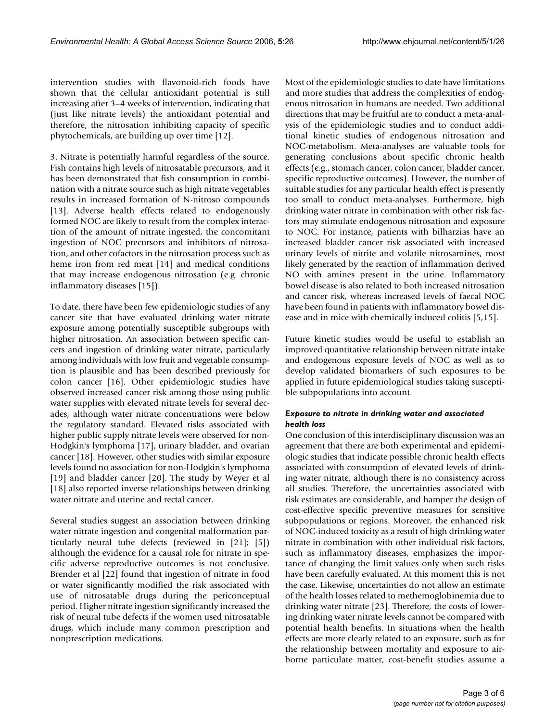intervention studies with flavonoid-rich foods have shown that the cellular antioxidant potential is still increasing after 3–4 weeks of intervention, indicating that (just like nitrate levels) the antioxidant potential and therefore, the nitrosation inhibiting capacity of specific phytochemicals, are building up over time [12].

3. Nitrate is potentially harmful regardless of the source. Fish contains high levels of nitrosatable precursors, and it has been demonstrated that fish consumption in combination with a nitrate source such as high nitrate vegetables results in increased formation of N-nitroso compounds [13]. Adverse health effects related to endogenously formed NOC are likely to result from the complex interaction of the amount of nitrate ingested, the concomitant ingestion of NOC precursors and inhibitors of nitrosation, and other cofactors in the nitrosation process such as heme iron from red meat [14] and medical conditions that may increase endogenous nitrosation (e.g. chronic inflammatory diseases [15]).

To date, there have been few epidemiologic studies of any cancer site that have evaluated drinking water nitrate exposure among potentially susceptible subgroups with higher nitrosation. An association between specific cancers and ingestion of drinking water nitrate, particularly among individuals with low fruit and vegetable consumption is plausible and has been described previously for colon cancer [16]. Other epidemiologic studies have observed increased cancer risk among those using public water supplies with elevated nitrate levels for several decades, although water nitrate concentrations were below the regulatory standard. Elevated risks associated with higher public supply nitrate levels were observed for non-Hodgkin's lymphoma [17], urinary bladder, and ovarian cancer [18]. However, other studies with similar exposure levels found no association for non-Hodgkin's lymphoma [19] and bladder cancer [20]. The study by Weyer et all [18] also reported inverse relationships between drinking water nitrate and uterine and rectal cancer.

Several studies suggest an association between drinking water nitrate ingestion and congenital malformation particularly neural tube defects (reviewed in [21]; [5]) although the evidence for a causal role for nitrate in specific adverse reproductive outcomes is not conclusive. Brender et al [22] found that ingestion of nitrate in food or water significantly modified the risk associated with use of nitrosatable drugs during the periconceptual period. Higher nitrate ingestion significantly increased the risk of neural tube defects if the women used nitrosatable drugs, which include many common prescription and nonprescription medications.

Most of the epidemiologic studies to date have limitations and more studies that address the complexities of endogenous nitrosation in humans are needed. Two additional directions that may be fruitful are to conduct a meta-analysis of the epidemiologic studies and to conduct additional kinetic studies of endogenous nitrosation and NOC-metabolism. Meta-analyses are valuable tools for generating conclusions about specific chronic health effects (e.g., stomach cancer, colon cancer, bladder cancer, specific reproductive outcomes). However, the number of suitable studies for any particular health effect is presently too small to conduct meta-analyses. Furthermore, high drinking water nitrate in combination with other risk factors may stimulate endogenous nitrosation and exposure to NOC. For instance, patients with bilharzias have an increased bladder cancer risk associated with increased urinary levels of nitrite and volatile nitrosamines, most likely generated by the reaction of inflammation derived NO with amines present in the urine. Inflammatory bowel disease is also related to both increased nitrosation and cancer risk, whereas increased levels of faecal NOC have been found in patients with inflammatory bowel disease and in mice with chemically induced colitis [5,15].

Future kinetic studies would be useful to establish an improved quantitative relationship between nitrate intake and endogenous exposure levels of NOC as well as to develop validated biomarkers of such exposures to be applied in future epidemiological studies taking susceptible subpopulations into account.

#### *Exposure to nitrate in drinking water and associated health loss*

One conclusion of this interdisciplinary discussion was an agreement that there are both experimental and epidemiologic studies that indicate possible chronic health effects associated with consumption of elevated levels of drinking water nitrate, although there is no consistency across all studies. Therefore, the uncertainties associated with risk estimates are considerable, and hamper the design of cost-effective specific preventive measures for sensitive subpopulations or regions. Moreover, the enhanced risk of NOC-induced toxicity as a result of high drinking water nitrate in combination with other individual risk factors, such as inflammatory diseases, emphasizes the importance of changing the limit values only when such risks have been carefully evaluated. At this moment this is not the case. Likewise, uncertainties do not allow an estimate of the health losses related to methemoglobinemia due to drinking water nitrate [23]. Therefore, the costs of lowering drinking water nitrate levels cannot be compared with potential health benefits. In situations when the health effects are more clearly related to an exposure, such as for the relationship between mortality and exposure to airborne particulate matter, cost-benefit studies assume a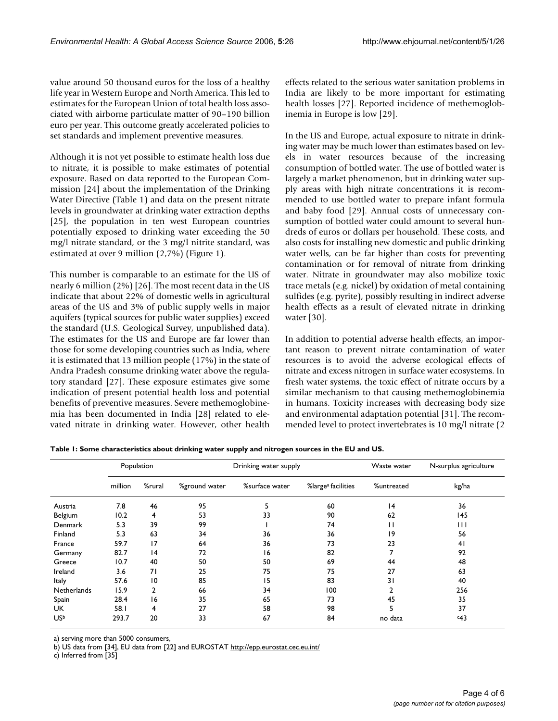value around 50 thousand euros for the loss of a healthy life year in Western Europe and North America. This led to estimates for the European Union of total health loss associated with airborne particulate matter of 90–190 billion euro per year. This outcome greatly accelerated policies to set standards and implement preventive measures.

Although it is not yet possible to estimate health loss due to nitrate, it is possible to make estimates of potential exposure. Based on data reported to the European Commission [24] about the implementation of the Drinking Water Directive (Table 1) and data on the present nitrate levels in groundwater at drinking water extraction depths [25], the population in ten west European countries potentially exposed to drinking water exceeding the 50 mg/l nitrate standard, or the 3 mg/l nitrite standard, was estimated at over 9 million (2,7%) (Figure 1).

This number is comparable to an estimate for the US of nearly 6 million (2%) [26]. The most recent data in the US indicate that about 22% of domestic wells in agricultural areas of the US and 3% of public supply wells in major aquifers (typical sources for public water supplies) exceed the standard (U.S. Geological Survey, unpublished data). The estimates for the US and Europe are far lower than those for some developing countries such as India, where it is estimated that 13 million people (17%) in the state of Andra Pradesh consume drinking water above the regulatory standard [27]. These exposure estimates give some indication of present potential health loss and potential benefits of preventive measures. Severe methemoglobinemia has been documented in India [28] related to elevated nitrate in drinking water. However, other health

effects related to the serious water sanitation problems in India are likely to be more important for estimating health losses [27]. Reported incidence of methemoglobinemia in Europe is low [29].

In the US and Europe, actual exposure to nitrate in drinking water may be much lower than estimates based on levels in water resources because of the increasing consumption of bottled water. The use of bottled water is largely a market phenomenon, but in drinking water supply areas with high nitrate concentrations it is recommended to use bottled water to prepare infant formula and baby food [29]. Annual costs of unnecessary consumption of bottled water could amount to several hundreds of euros or dollars per household. These costs, and also costs for installing new domestic and public drinking water wells, can be far higher than costs for preventing contamination or for removal of nitrate from drinking water. Nitrate in groundwater may also mobilize toxic trace metals (e.g. nickel) by oxidation of metal containing sulfides (e.g. pyrite), possibly resulting in indirect adverse health effects as a result of elevated nitrate in drinking water [30].

In addition to potential adverse health effects, an important reason to prevent nitrate contamination of water resources is to avoid the adverse ecological effects of nitrate and excess nitrogen in surface water ecosystems. In fresh water systems, the toxic effect of nitrate occurs by a similar mechanism to that causing methemoglobinemia in humans. Toxicity increases with decreasing body size and environmental adaptation potential [31]. The recommended level to protect invertebrates is 10 mg/l nitrate (2

|                    | Population |                | Drinking water supply |                |                                | Waste water  | N-surplus agriculture |
|--------------------|------------|----------------|-----------------------|----------------|--------------------------------|--------------|-----------------------|
|                    | million    | %rural         | %ground water         | %surface water | %large <sup>a</sup> facilities | %untreated   | kg/ha                 |
| Austria            | 7.8        | 46             | 95                    |                | 60                             | 4            | 36                    |
| Belgium            | 10.2       | 4              | 53                    | 33             | 90                             | 62           | 145                   |
| Denmark            | 5.3        | 39             | 99                    |                | 74                             | П            | $\mathbf{H}$          |
| Finland            | 5.3        | 63             | 34                    | 36             | 36                             | 9            | 56                    |
| France             | 59.7       | 17             | 64                    | 36             | 73                             | 23           | 41                    |
| Germany            | 82.7       | 4              | 72                    | 16             | 82                             |              | 92                    |
| Greece             | 10.7       | 40             | 50                    | 50             | 69                             | 44           | 48                    |
| Ireland            | 3.6        | 71             | 25                    | 75             | 75                             | 27           | 63                    |
| Italy              | 57.6       | 10             | 85                    | 15             | 83                             | 31           | 40                    |
| <b>Netherlands</b> | 15.9       | $\overline{2}$ | 66                    | 34             | 100                            | $\mathbf{2}$ | 256                   |
| Spain              | 28.4       | 16             | 35                    | 65             | 73                             | 45           | 35                    |
| <b>UK</b>          | 58.I       | 4              | 27                    | 58             | 98                             | 5            | 37                    |
| USb                | 293.7      | 20             | 33                    | 67             | 84                             | no data      | c43                   |

a) serving more than 5000 consumers,

b) US data from [34], EU data from [22] and EUROSTAT<http://epp.eurostat.cec.eu.int/>

c) Inferred from [35]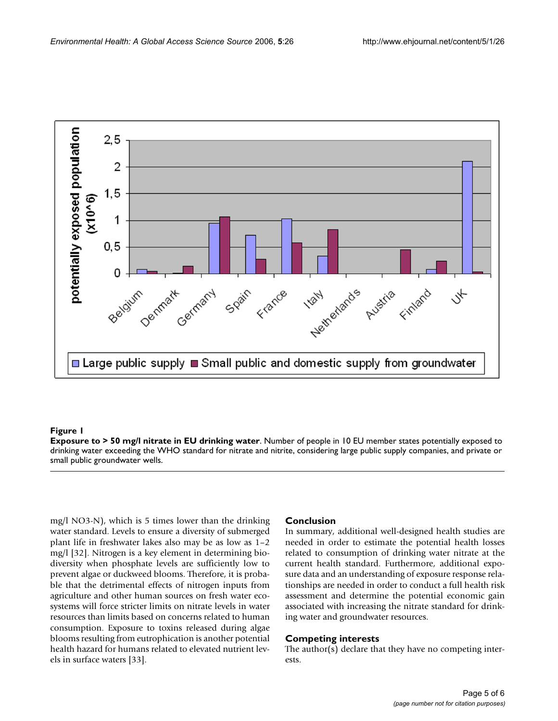

#### **Figure 1**

**Exposure to > 50 mg/l nitrate in EU drinking water**. Number of people in 10 EU member states potentially exposed to drinking water exceeding the WHO standard for nitrate and nitrite, considering large public supply companies, and private or small public groundwater wells.

mg/l NO3-N), which is 5 times lower than the drinking water standard. Levels to ensure a diversity of submerged plant life in freshwater lakes also may be as low as 1–2 mg/l [32]. Nitrogen is a key element in determining biodiversity when phosphate levels are sufficiently low to prevent algae or duckweed blooms. Therefore, it is probable that the detrimental effects of nitrogen inputs from agriculture and other human sources on fresh water ecosystems will force stricter limits on nitrate levels in water resources than limits based on concerns related to human consumption. Exposure to toxins released during algae blooms resulting from eutrophication is another potential health hazard for humans related to elevated nutrient levels in surface waters [33].

#### **Conclusion**

In summary, additional well-designed health studies are needed in order to estimate the potential health losses related to consumption of drinking water nitrate at the current health standard. Furthermore, additional exposure data and an understanding of exposure response relationships are needed in order to conduct a full health risk assessment and determine the potential economic gain associated with increasing the nitrate standard for drinking water and groundwater resources.

#### **Competing interests**

The author(s) declare that they have no competing interests.